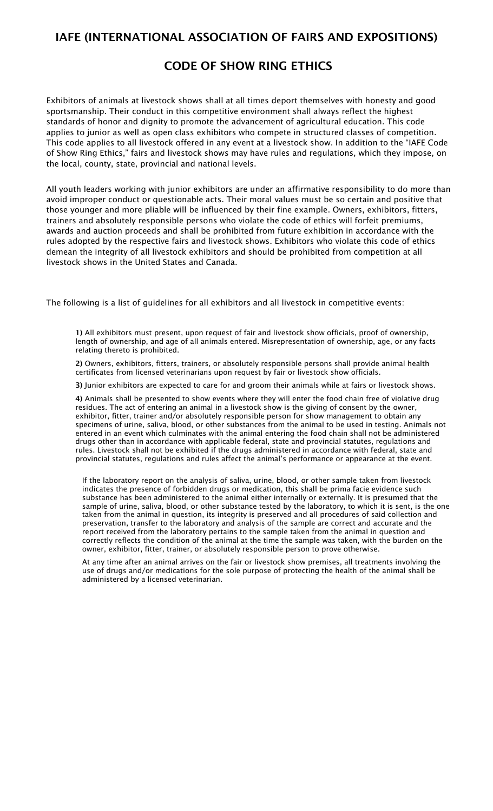## IAFE (INTERNATIONAL ASSOCIATION OF FAIRS AND EXPOSITIONS)

## CODE OF SHOW RING ETHICS

Exhibitors of animals at livestock shows shall at all times deport themselves with honesty and good sportsmanship. Their conduct in this competitive environment shall always reflect the highest standards of honor and dignity to promote the advancement of agricultural education. This code applies to junior as well as open class exhibitors who compete in structured classes of competition. This code applies to all livestock offered in any event at a livestock show. In addition to the "IAFE Code of Show Ring Ethics," fairs and livestock shows may have rules and regulations, which they impose, on the local, county, state, provincial and national levels.

All youth leaders working with junior exhibitors are under an affirmative responsibility to do more than avoid improper conduct or questionable acts. Their moral values must be so certain and positive that those younger and more pliable will be influenced by their fine example. Owners, exhibitors, fitters, trainers and absolutely responsible persons who violate the code of ethics will forfeit premiums, awards and auction proceeds and shall be prohibited from future exhibition in accordance with the rules adopted by the respective fairs and livestock shows. Exhibitors who violate this code of ethics demean the integrity of all livestock exhibitors and should be prohibited from competition at all livestock shows in the United States and Canada.

The following is a list of guidelines for all exhibitors and all livestock in competitive events:

1) All exhibitors must present, upon request of fair and livestock show officials, proof of ownership, length of ownership, and age of all animals entered. Misrepresentation of ownership, age, or any facts relating thereto is prohibited.

2) Owners, exhibitors, fitters, trainers, or absolutely responsible persons shall provide animal health certificates from licensed veterinarians upon request by fair or livestock show officials.

3) Junior exhibitors are expected to care for and groom their animals while at fairs or livestock shows.

4) Animals shall be presented to show events where they will enter the food chain free of violative drug residues. The act of entering an animal in a livestock show is the giving of consent by the owner, exhibitor, fitter, trainer and/or absolutely responsible person for show management to obtain any specimens of urine, saliva, blood, or other substances from the animal to be used in testing. Animals not entered in an event which culminates with the animal entering the food chain shall not be administered drugs other than in accordance with applicable federal, state and provincial statutes, regulations and rules. Livestock shall not be exhibited if the drugs administered in accordance with federal, state and provincial statutes, regulations and rules affect the animal's performance or appearance at the event.

If the laboratory report on the analysis of saliva, urine, blood, or other sample taken from livestock indicates the presence of forbidden drugs or medication, this shall be prima facie evidence such substance has been administered to the animal either internally or externally. It is presumed that the sample of urine, saliva, blood, or other substance tested by the laboratory, to which it is sent, is the one taken from the animal in question, its integrity is preserved and all procedures of said collection and preservation, transfer to the laboratory and analysis of the sample are correct and accurate and the report received from the laboratory pertains to the sample taken from the animal in question and correctly reflects the condition of the animal at the time the sample was taken, with the burden on the owner, exhibitor, fitter, trainer, or absolutely responsible person to prove otherwise.

At any time after an animal arrives on the fair or livestock show premises, all treatments involving the use of drugs and/or medications for the sole purpose of protecting the health of the animal shall be administered by a licensed veterinarian.